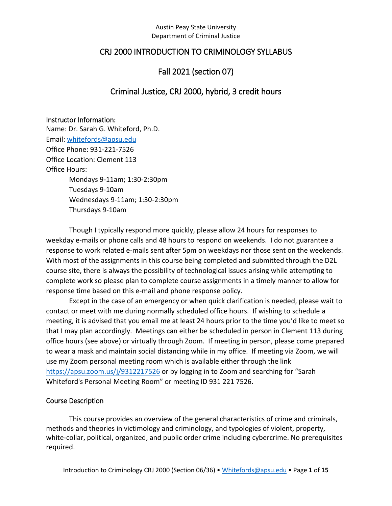## CRJ 2000 INTRODUCTION TO CRIMINOLOGY SYLLABUS

## Fall 2021 (section 07)

## Criminal Justice, CRJ 2000, hybrid, 3 credit hours

#### Instructor Information:

Name: Dr. Sarah G. Whiteford, Ph.D. Email: [whitefords@apsu.edu](mailto:whitefords@apsu.edu) Office Phone: 931-221-7526 Office Location: Clement 113 Office Hours: Mondays 9-11am; 1:30-2:30pm Tuesdays 9-10am Wednesdays 9-11am; 1:30-2:30pm Thursdays 9-10am

Though I typically respond more quickly, please allow 24 hours for responses to weekday e-mails or phone calls and 48 hours to respond on weekends. I do not guarantee a response to work related e-mails sent after 5pm on weekdays nor those sent on the weekends. With most of the assignments in this course being completed and submitted through the D2L course site, there is always the possibility of technological issues arising while attempting to complete work so please plan to complete course assignments in a timely manner to allow for response time based on this e-mail and phone response policy.

Except in the case of an emergency or when quick clarification is needed, please wait to contact or meet with me during normally scheduled office hours. If wishing to schedule a meeting, it is advised that you email me at least 24 hours prior to the time you'd like to meet so that I may plan accordingly. Meetings can either be scheduled in person in Clement 113 during office hours (see above) or virtually through Zoom. If meeting in person, please come prepared to wear a mask and maintain social distancing while in my office. If meeting via Zoom, we will use my Zoom personal meeting room which is available either through the link <https://apsu.zoom.us/j/9312217526> or by logging in to Zoom and searching for "Sarah Whiteford's Personal Meeting Room" or meeting ID 931 221 7526.

#### Course Description

This course provides an overview of the general characteristics of crime and criminals, methods and theories in victimology and criminology, and typologies of violent, property, white-collar, political, organized, and public order crime including cybercrime. No prerequisites required.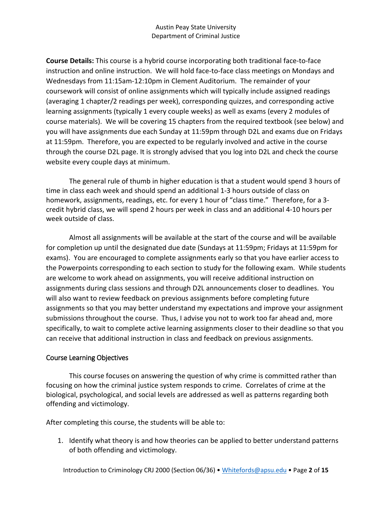**Course Details:** This course is a hybrid course incorporating both traditional face-to-face instruction and online instruction. We will hold face-to-face class meetings on Mondays and Wednesdays from 11:15am-12:10pm in Clement Auditorium. The remainder of your coursework will consist of online assignments which will typically include assigned readings (averaging 1 chapter/2 readings per week), corresponding quizzes, and corresponding active learning assignments (typically 1 every couple weeks) as well as exams (every 2 modules of course materials). We will be covering 15 chapters from the required textbook (see below) and you will have assignments due each Sunday at 11:59pm through D2L and exams due on Fridays at 11:59pm. Therefore, you are expected to be regularly involved and active in the course through the course D2L page. It is strongly advised that you log into D2L and check the course website every couple days at minimum.

The general rule of thumb in higher education is that a student would spend 3 hours of time in class each week and should spend an additional 1-3 hours outside of class on homework, assignments, readings, etc. for every 1 hour of "class time." Therefore, for a 3 credit hybrid class, we will spend 2 hours per week in class and an additional 4-10 hours per week outside of class.

Almost all assignments will be available at the start of the course and will be available for completion up until the designated due date (Sundays at 11:59pm; Fridays at 11:59pm for exams). You are encouraged to complete assignments early so that you have earlier access to the Powerpoints corresponding to each section to study for the following exam. While students are welcome to work ahead on assignments, you will receive additional instruction on assignments during class sessions and through D2L announcements closer to deadlines. You will also want to review feedback on previous assignments before completing future assignments so that you may better understand my expectations and improve your assignment submissions throughout the course. Thus, I advise you not to work too far ahead and, more specifically, to wait to complete active learning assignments closer to their deadline so that you can receive that additional instruction in class and feedback on previous assignments.

## Course Learning Objectives

This course focuses on answering the question of why crime is committed rather than focusing on how the criminal justice system responds to crime. Correlates of crime at the biological, psychological, and social levels are addressed as well as patterns regarding both offending and victimology.

After completing this course, the students will be able to:

1. Identify what theory is and how theories can be applied to better understand patterns of both offending and victimology.

Introduction to Criminology CRJ 2000 (Section 06/36) • [Whitefords@apsu.edu](mailto:Whitefords@apsu.edu) • Page **2** of **15**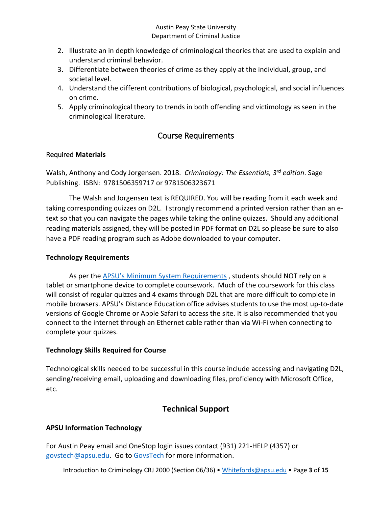- 2. Illustrate an in depth knowledge of criminological theories that are used to explain and understand criminal behavior.
- 3. Differentiate between theories of crime as they apply at the individual, group, and societal level.
- 4. Understand the different contributions of biological, psychological, and social influences on crime.
- 5. Apply criminological theory to trends in both offending and victimology as seen in the criminological literature.

# Course Requirements

## Required **Materials**

Walsh, Anthony and Cody Jorgensen. 2018. *Criminology: The Essentials, 3rd edition*. Sage Publishing. ISBN: 9781506359717 or 9781506323671

The Walsh and Jorgensen text is REQUIRED. You will be reading from it each week and taking corresponding quizzes on D2L. I strongly recommend a printed version rather than an etext so that you can navigate the pages while taking the online quizzes. Should any additional reading materials assigned, they will be posted in PDF format on D2L so please be sure to also have a PDF reading program such as Adobe downloaded to your computer.

## **Technology Requirements**

As per the [APSU's Minimum System Requirements](https://www.apsu.edu/online/technical-support/requirements.php) , students should NOT rely on a tablet or smartphone device to complete coursework. Much of the coursework for this class will consist of regular quizzes and 4 exams through D2L that are more difficult to complete in mobile browsers. APSU's Distance Education office advises students to use the most up-to-date versions of Google Chrome or Apple Safari to access the site. It is also recommended that you connect to the internet through an Ethernet cable rather than via Wi-Fi when connecting to complete your quizzes.

## **Technology Skills Required for Course**

Technological skills needed to be successful in this course include accessing and navigating D2L, sending/receiving email, uploading and downloading files, proficiency with Microsoft Office, etc.

# **Technical Support**

## **APSU Information Technology**

For Austin Peay email and OneStop login issues contact (931) 221-HELP (4357) or [govstech@apsu.edu.](mailto:govstech@apsu.edu) Go to [GovsTech](https://www.apsu.edu/information-technology/helpdesk/) for more information.

Introduction to Criminology CRJ 2000 (Section 06/36) • [Whitefords@apsu.edu](mailto:Whitefords@apsu.edu) • Page **3** of **15**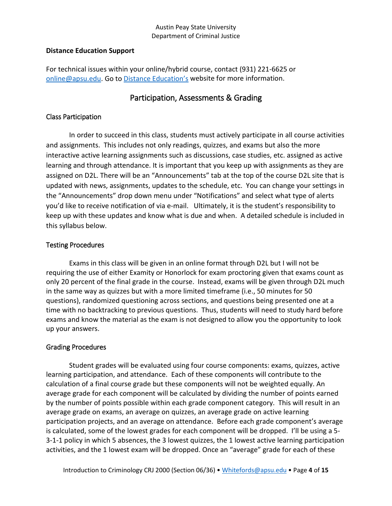#### **Distance Education Support**

For technical issues within your online/hybrid course, contact (931) 221-6625 or [online@apsu.edu.](mailto:online@apsu.edu) Go to [Distance Education's](http://apsu.edu/online) website for more information.

## Participation, Assessments & Grading

### Class Participation

In order to succeed in this class, students must actively participate in all course activities and assignments. This includes not only readings, quizzes, and exams but also the more interactive active learning assignments such as discussions, case studies, etc. assigned as active learning and through attendance. It is important that you keep up with assignments as they are assigned on D2L. There will be an "Announcements" tab at the top of the course D2L site that is updated with news, assignments, updates to the schedule, etc. You can change your settings in the "Announcements" drop down menu under "Notifications" and select what type of alerts you'd like to receive notification of via e-mail. Ultimately, it is the student's responsibility to keep up with these updates and know what is due and when. A detailed schedule is included in this syllabus below.

### Testing Procedures

Exams in this class will be given in an online format through D2L but I will not be requiring the use of either Examity or Honorlock for exam proctoring given that exams count as only 20 percent of the final grade in the course. Instead, exams will be given through D2L much in the same way as quizzes but with a more limited timeframe (i.e., 50 minutes for 50 questions), randomized questioning across sections, and questions being presented one at a time with no backtracking to previous questions. Thus, students will need to study hard before exams and know the material as the exam is not designed to allow you the opportunity to look up your answers.

## Grading Procedures

Student grades will be evaluated using four course components: exams, quizzes, active learning participation, and attendance. Each of these components will contribute to the calculation of a final course grade but these components will not be weighted equally. An average grade for each component will be calculated by dividing the number of points earned by the number of points possible within each grade component category. This will result in an average grade on exams, an average on quizzes, an average grade on active learning participation projects, and an average on attendance. Before each grade component's average is calculated, some of the lowest grades for each component will be dropped. I'll be using a 5- 3-1-1 policy in which 5 absences, the 3 lowest quizzes, the 1 lowest active learning participation activities, and the 1 lowest exam will be dropped. Once an "average" grade for each of these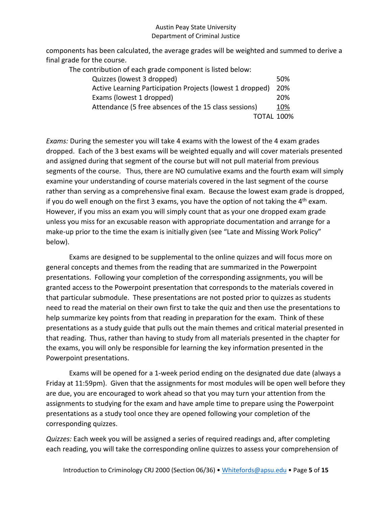components has been calculated, the average grades will be weighted and summed to derive a final grade for the course.

| The contribution of each grade component is listed below: |     |
|-----------------------------------------------------------|-----|
| Quizzes (lowest 3 dropped)                                | 50% |
| Active Learning Participation Projects (lowest 1 dropped) | 20% |
| Exams (lowest 1 dropped)                                  | 20% |
| Attendance (5 free absences of the 15 class sessions)     | 10% |
| <b>TOTAL 100%</b>                                         |     |
|                                                           |     |

*Exams:* During the semester you will take 4 exams with the lowest of the 4 exam grades dropped. Each of the 3 best exams will be weighted equally and will cover materials presented and assigned during that segment of the course but will not pull material from previous segments of the course. Thus, there are NO cumulative exams and the fourth exam will simply examine your understanding of course materials covered in the last segment of the course rather than serving as a comprehensive final exam. Because the lowest exam grade is dropped, if you do well enough on the first 3 exams, you have the option of not taking the  $4<sup>th</sup>$  exam. However, if you miss an exam you will simply count that as your one dropped exam grade unless you miss for an excusable reason with appropriate documentation and arrange for a make-up prior to the time the exam is initially given (see "Late and Missing Work Policy" below).

Exams are designed to be supplemental to the online quizzes and will focus more on general concepts and themes from the reading that are summarized in the Powerpoint presentations. Following your completion of the corresponding assignments, you will be granted access to the Powerpoint presentation that corresponds to the materials covered in that particular submodule. These presentations are not posted prior to quizzes as students need to read the material on their own first to take the quiz and then use the presentations to help summarize key points from that reading in preparation for the exam. Think of these presentations as a study guide that pulls out the main themes and critical material presented in that reading. Thus, rather than having to study from all materials presented in the chapter for the exams, you will only be responsible for learning the key information presented in the Powerpoint presentations.

Exams will be opened for a 1-week period ending on the designated due date (always a Friday at 11:59pm). Given that the assignments for most modules will be open well before they are due, you are encouraged to work ahead so that you may turn your attention from the assignments to studying for the exam and have ample time to prepare using the Powerpoint presentations as a study tool once they are opened following your completion of the corresponding quizzes.

*Quizzes:* Each week you will be assigned a series of required readings and, after completing each reading, you will take the corresponding online quizzes to assess your comprehension of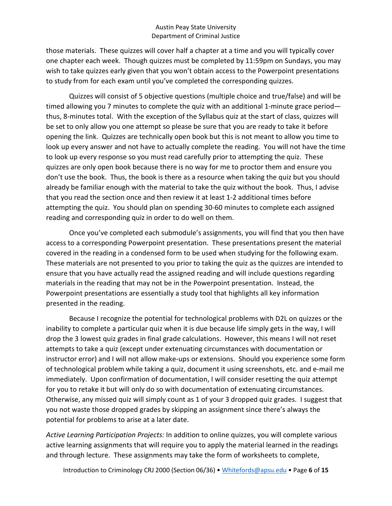those materials. These quizzes will cover half a chapter at a time and you will typically cover one chapter each week. Though quizzes must be completed by 11:59pm on Sundays, you may wish to take quizzes early given that you won't obtain access to the Powerpoint presentations to study from for each exam until you've completed the corresponding quizzes.

Quizzes will consist of 5 objective questions (multiple choice and true/false) and will be timed allowing you 7 minutes to complete the quiz with an additional 1-minute grace period thus, 8-minutes total. With the exception of the Syllabus quiz at the start of class, quizzes will be set to only allow you one attempt so please be sure that you are ready to take it before opening the link. Quizzes are technically open book but this is not meant to allow you time to look up every answer and not have to actually complete the reading. You will not have the time to look up every response so you must read carefully prior to attempting the quiz. These quizzes are only open book because there is no way for me to proctor them and ensure you don't use the book. Thus, the book is there as a resource when taking the quiz but you should already be familiar enough with the material to take the quiz without the book. Thus, I advise that you read the section once and then review it at least 1-2 additional times before attempting the quiz. You should plan on spending 30-60 minutes to complete each assigned reading and corresponding quiz in order to do well on them.

Once you've completed each submodule's assignments, you will find that you then have access to a corresponding Powerpoint presentation. These presentations present the material covered in the reading in a condensed form to be used when studying for the following exam. These materials are not presented to you prior to taking the quiz as the quizzes are intended to ensure that you have actually read the assigned reading and will include questions regarding materials in the reading that may not be in the Powerpoint presentation. Instead, the Powerpoint presentations are essentially a study tool that highlights all key information presented in the reading.

Because I recognize the potential for technological problems with D2L on quizzes or the inability to complete a particular quiz when it is due because life simply gets in the way, I will drop the 3 lowest quiz grades in final grade calculations. However, this means I will not reset attempts to take a quiz (except under extenuating circumstances with documentation or instructor error) and I will not allow make-ups or extensions. Should you experience some form of technological problem while taking a quiz, document it using screenshots, etc. and e-mail me immediately. Upon confirmation of documentation, I will consider resetting the quiz attempt for you to retake it but will only do so with documentation of extenuating circumstances. Otherwise, any missed quiz will simply count as 1 of your 3 dropped quiz grades. I suggest that you not waste those dropped grades by skipping an assignment since there's always the potential for problems to arise at a later date.

*Active Learning Participation Projects:* In addition to online quizzes, you will complete various active learning assignments that will require you to apply the material learned in the readings and through lecture. These assignments may take the form of worksheets to complete,

Introduction to Criminology CRJ 2000 (Section 06/36) • [Whitefords@apsu.edu](mailto:Whitefords@apsu.edu) • Page **6** of **15**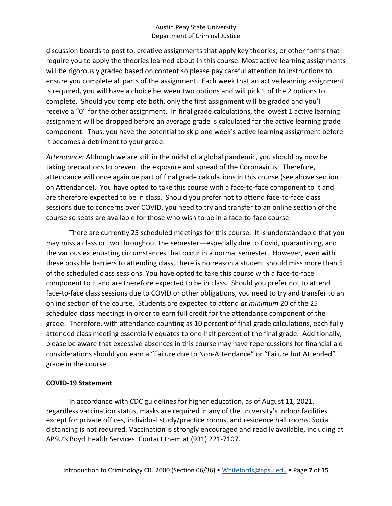discussion boards to post to, creative assignments that apply key theories, or other forms that require you to apply the theories learned about in this course. Most active learning assignments will be rigorously graded based on content so please pay careful attention to instructions to ensure you complete all parts of the assignment. Each week that an active learning assignment is required, you will have a choice between two options and will pick 1 of the 2 options to complete. Should you complete both, only the first assignment will be graded and you'll receive a "0" for the other assignment. In final grade calculations, the lowest 1 active learning assignment will be dropped before an average grade is calculated for the active learning grade component. Thus, you have the potential to skip one week's active learning assignment before it becomes a detriment to your grade.

*Attendance:* Although we are still in the midst of a global pandemic, you should by now be taking precautions to prevent the exposure and spread of the Coronavirus. Therefore, attendance will once again be part of final grade calculations in this course (see above section on Attendance). You have opted to take this course with a face-to-face component to it and are therefore expected to be in class. Should you prefer not to attend face-to-face class sessions due to concerns over COVID, you need to try and transfer to an online section of the course so seats are available for those who wish to be in a face-to-face course.

There are currently 25 scheduled meetings for this course. It is understandable that you may miss a class or two throughout the semester—especially due to Covid, quarantining, and the various extenuating circumstances that occur in a normal semester. However, even with these possible barriers to attending class, there is no reason a student should miss more than 5 of the scheduled class sessions. You have opted to take this course with a face-to-face component to it and are therefore expected to be in class. Should you prefer not to attend face-to-face class sessions due to COVID or other obligations, you need to try and transfer to an online section of the course. Students are expected to attend *at minimum* 20 of the 25 scheduled class meetings in order to earn full credit for the attendance component of the grade. Therefore, with attendance counting as 10 percent of final grade calculations, each fully attended class meeting essentially equates to one-half percent of the final grade. Additionally, please be aware that excessive absences in this course may have repercussions for financial aid considerations should you earn a "Failure due to Non-Attendance" or "Failure but Attended" grade in the course.

#### **COVID-19 Statement**

In accordance with CDC guidelines for higher education, as of August 11, 2021, regardless vaccination status, masks are required in any of the university's indoor facilities except for private offices, individual study/practice rooms, and residence hall rooms. Social distancing is not required. Vaccination is strongly encouraged and readily available, including at APSU's Boyd Health Services. Contact them at (931) 221-7107.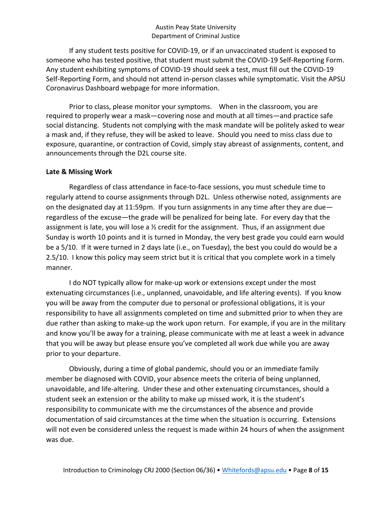If any student tests positive for COVID-19, or if an unvaccinated student is exposed to someone who has tested positive, that student must submit the COVID-19 Self-Reporting Form. Any student exhibiting symptoms of COVID-19 should seek a test, must fill out the COVID-19 Self-Reporting Form, and should not attend in-person classes while symptomatic. Visit the APSU Coronavirus Dashboard webpage for more information.

Prior to class, please monitor your symptoms. When in the classroom, you are required to properly wear a mask—covering nose and mouth at all times—and practice safe social distancing. Students not complying with the mask mandate will be politely asked to wear a mask and, if they refuse, they will be asked to leave. Should you need to miss class due to exposure, quarantine, or contraction of Covid, simply stay abreast of assignments, content, and announcements through the D2L course site.

#### **Late & Missing Work**

Regardless of class attendance in face-to-face sessions, you must schedule time to regularly attend to course assignments through D2L. Unless otherwise noted, assignments are on the designated day at 11:59pm. If you turn assignments in any time after they are due regardless of the excuse—the grade will be penalized for being late. For every day that the assignment is late, you will lose a  $\frac{1}{2}$  credit for the assignment. Thus, if an assignment due Sunday is worth 10 points and it is turned in Monday, the very best grade you could earn would be a 5/10. If it were turned in 2 days late (i.e., on Tuesday), the best you could do would be a 2.5/10. I know this policy may seem strict but it is critical that you complete work in a timely manner.

I do NOT typically allow for make-up work or extensions except under the most extenuating circumstances (i.e., unplanned, unavoidable, and life altering events). If you know you will be away from the computer due to personal or professional obligations, it is your responsibility to have all assignments completed on time and submitted prior to when they are due rather than asking to make-up the work upon return. For example, if you are in the military and know you'll be away for a training, please communicate with me at least a week in advance that you will be away but please ensure you've completed all work due while you are away prior to your departure.

Obviously, during a time of global pandemic, should you or an immediate family member be diagnosed with COVID, your absence meets the criteria of being unplanned, unavoidable, and life-altering. Under these and other extenuating circumstances, should a student seek an extension or the ability to make up missed work, it is the student's responsibility to communicate with me the circumstances of the absence and provide documentation of said circumstances at the time when the situation is occurring. Extensions will not even be considered unless the request is made within 24 hours of when the assignment was due.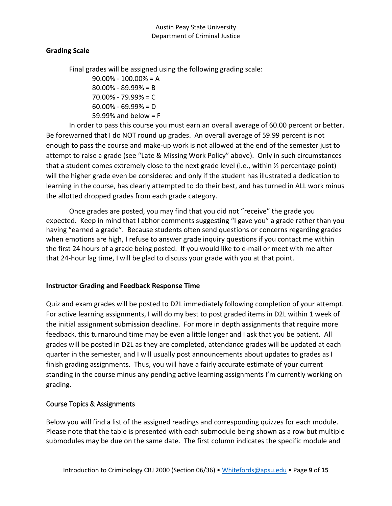## **Grading Scale**

Final grades will be assigned using the following grading scale:

90.00% - 100.00% = A 80.00% - 89.99% = B 70.00% - 79.99% = C  $60.00\% - 69.99\% = D$ 59.99% and below = F

In order to pass this course you must earn an overall average of 60.00 percent or better. Be forewarned that I do NOT round up grades. An overall average of 59.99 percent is not enough to pass the course and make-up work is not allowed at the end of the semester just to attempt to raise a grade (see "Late & Missing Work Policy" above). Only in such circumstances that a student comes extremely close to the next grade level (i.e., within ½ percentage point) will the higher grade even be considered and only if the student has illustrated a dedication to learning in the course, has clearly attempted to do their best, and has turned in ALL work minus the allotted dropped grades from each grade category.

Once grades are posted, you may find that you did not "receive" the grade you expected. Keep in mind that I abhor comments suggesting "I gave you" a grade rather than you having "earned a grade". Because students often send questions or concerns regarding grades when emotions are high, I refuse to answer grade inquiry questions if you contact me within the first 24 hours of a grade being posted. If you would like to e-mail or meet with me after that 24-hour lag time, I will be glad to discuss your grade with you at that point.

#### **Instructor Grading and Feedback Response Time**

Quiz and exam grades will be posted to D2L immediately following completion of your attempt. For active learning assignments, I will do my best to post graded items in D2L within 1 week of the initial assignment submission deadline. For more in depth assignments that require more feedback, this turnaround time may be even a little longer and I ask that you be patient. All grades will be posted in D2L as they are completed, attendance grades will be updated at each quarter in the semester, and I will usually post announcements about updates to grades as I finish grading assignments. Thus, you will have a fairly accurate estimate of your current standing in the course minus any pending active learning assignments I'm currently working on grading.

#### Course Topics & Assignments

Below you will find a list of the assigned readings and corresponding quizzes for each module. Please note that the table is presented with each submodule being shown as a row but multiple submodules may be due on the same date. The first column indicates the specific module and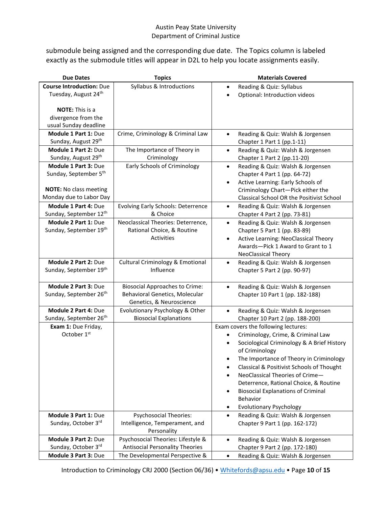submodule being assigned and the corresponding due date. The Topics column is labeled exactly as the submodule titles will appear in D2L to help you locate assignments easily.

| <b>Due Dates</b>                   | <b>Topics</b>                                              | <b>Materials Covered</b>                                                             |
|------------------------------------|------------------------------------------------------------|--------------------------------------------------------------------------------------|
| <b>Course Introduction: Due</b>    | Syllabus & Introductions                                   | Reading & Quiz: Syllabus<br>$\bullet$                                                |
| Tuesday, August 24th               |                                                            | Optional: Introduction videos<br>$\bullet$                                           |
|                                    |                                                            |                                                                                      |
| <b>NOTE:</b> This is a             |                                                            |                                                                                      |
| divergence from the                |                                                            |                                                                                      |
| usual Sunday deadline              |                                                            |                                                                                      |
| Module 1 Part 1: Due               | Crime, Criminology & Criminal Law                          | Reading & Quiz: Walsh & Jorgensen<br>$\bullet$                                       |
| Sunday, August 29th                |                                                            | Chapter 1 Part 1 (pp.1-11)                                                           |
| Module 1 Part 2: Due               | The Importance of Theory in                                | Reading & Quiz: Walsh & Jorgensen<br>$\bullet$                                       |
| Sunday, August 29th                | Criminology                                                | Chapter 1 Part 2 (pp.11-20)                                                          |
| Module 1 Part 3: Due               | Early Schools of Criminology                               | Reading & Quiz: Walsh & Jorgensen<br>$\bullet$                                       |
| Sunday, September 5th              |                                                            | Chapter 4 Part 1 (pp. 64-72)                                                         |
|                                    |                                                            | Active Learning: Early Schools of<br>$\bullet$                                       |
| <b>NOTE:</b> No class meeting      |                                                            | Criminology Chart-Pick either the                                                    |
| Monday due to Labor Day            |                                                            | Classical School OR the Positivist School                                            |
| Module 1 Part 4: Due               | <b>Evolving Early Schools: Deterrence</b>                  | Reading & Quiz: Walsh & Jorgensen<br>$\bullet$                                       |
| Sunday, September 12th             | & Choice                                                   | Chapter 4 Part 2 (pp. 73-81)                                                         |
| Module 2 Part 1: Due               | Neoclassical Theories: Deterrence,                         | Reading & Quiz: Walsh & Jorgensen<br>$\bullet$                                       |
| Sunday, September 19th             | Rational Choice, & Routine                                 | Chapter 5 Part 1 (pp. 83-89)                                                         |
|                                    | Activities                                                 | Active Learning: NeoClassical Theory<br>$\bullet$                                    |
|                                    |                                                            | Awards-Pick 1 Award to Grant to 1                                                    |
|                                    |                                                            | <b>NeoClassical Theory</b>                                                           |
| Module 2 Part 2: Due               | <b>Cultural Criminology &amp; Emotional</b>                | Reading & Quiz: Walsh & Jorgensen<br>$\bullet$                                       |
| Sunday, September 19th             | Influence                                                  | Chapter 5 Part 2 (pp. 90-97)                                                         |
|                                    |                                                            |                                                                                      |
| Module 2 Part 3: Due               | <b>Biosocial Approaches to Crime:</b>                      | Reading & Quiz: Walsh & Jorgensen<br>$\bullet$                                       |
| Sunday, September 26 <sup>th</sup> | Behavioral Genetics, Molecular<br>Genetics, & Neuroscience | Chapter 10 Part 1 (pp. 182-188)                                                      |
| Module 2 Part 4: Due               | Evolutionary Psychology & Other                            |                                                                                      |
| Sunday, September 26 <sup>th</sup> | <b>Biosocial Explanations</b>                              | Reading & Quiz: Walsh & Jorgensen<br>$\bullet$                                       |
|                                    |                                                            | Chapter 10 Part 2 (pp. 188-200)<br>Exam covers the following lectures:               |
| Exam 1: Due Friday,<br>October 1st |                                                            |                                                                                      |
|                                    |                                                            | Criminology, Crime, & Criminal Law                                                   |
|                                    |                                                            | Sociological Criminology & A Brief History                                           |
|                                    |                                                            | of Criminology                                                                       |
|                                    |                                                            | The Importance of Theory in Criminology<br>Classical & Positivist Schools of Thought |
|                                    |                                                            | $\bullet$<br>NeoClassical Theories of Crime-                                         |
|                                    |                                                            | Deterrence, Rational Choice, & Routine                                               |
|                                    |                                                            | <b>Biosocial Explanations of Criminal</b>                                            |
|                                    |                                                            | <b>Behavior</b>                                                                      |
|                                    |                                                            | <b>Evolutionary Psychology</b>                                                       |
| Module 3 Part 1: Due               | <b>Psychosocial Theories:</b>                              | ٠<br>Reading & Quiz: Walsh & Jorgensen<br>$\bullet$                                  |
| Sunday, October 3rd                | Intelligence, Temperament, and                             | Chapter 9 Part 1 (pp. 162-172)                                                       |
|                                    | Personality                                                |                                                                                      |
| Module 3 Part 2: Due               | Psychosocial Theories: Lifestyle &                         | Reading & Quiz: Walsh & Jorgensen<br>$\bullet$                                       |
| Sunday, October 3rd                | <b>Antisocial Personality Theories</b>                     | Chapter 9 Part 2 (pp. 172-180)                                                       |
| Module 3 Part 3: Due               | The Developmental Perspective &                            | Reading & Quiz: Walsh & Jorgensen<br>$\bullet$                                       |
|                                    |                                                            |                                                                                      |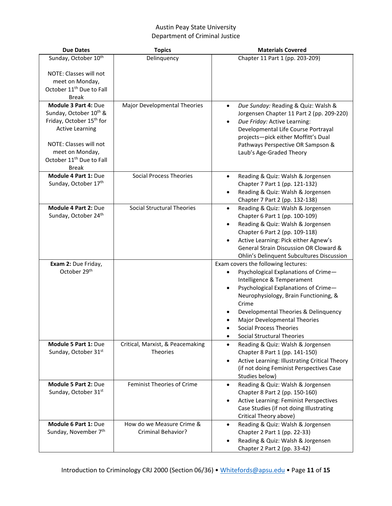| <b>Due Dates</b>                                                                                                                                                                                                                                                               | <b>Topics</b>                                       | <b>Materials Covered</b>                                                                                                                                                                                                                                                                            |
|--------------------------------------------------------------------------------------------------------------------------------------------------------------------------------------------------------------------------------------------------------------------------------|-----------------------------------------------------|-----------------------------------------------------------------------------------------------------------------------------------------------------------------------------------------------------------------------------------------------------------------------------------------------------|
| Sunday, October 10 <sup>th</sup>                                                                                                                                                                                                                                               | Delinquency                                         | Chapter 11 Part 1 (pp. 203-209)                                                                                                                                                                                                                                                                     |
| NOTE: Classes will not<br>meet on Monday,<br>October 11 <sup>th</sup> Due to Fall<br><b>Break</b><br>Module 3 Part 4: Due<br>Sunday, October 10 <sup>th</sup> &<br>Friday, October 15 <sup>th</sup> for<br><b>Active Learning</b><br>NOTE: Classes will not<br>meet on Monday, | Major Developmental Theories                        | Due Sunday: Reading & Quiz: Walsh &<br>$\bullet$<br>Jorgensen Chapter 11 Part 2 (pp. 209-220)<br>Due Friday: Active Learning:<br>$\bullet$<br>Developmental Life Course Portrayal<br>projects-pick either Moffitt's Dual<br>Pathways Perspective OR Sampson &<br>Laub's Age-Graded Theory           |
| October 11 <sup>th</sup> Due to Fall                                                                                                                                                                                                                                           |                                                     |                                                                                                                                                                                                                                                                                                     |
| <b>Break</b>                                                                                                                                                                                                                                                                   |                                                     |                                                                                                                                                                                                                                                                                                     |
| <b>Module 4 Part 1: Due</b><br>Sunday, October 17th                                                                                                                                                                                                                            | <b>Social Process Theories</b>                      | Reading & Quiz: Walsh & Jorgensen<br>$\bullet$<br>Chapter 7 Part 1 (pp. 121-132)<br>Reading & Quiz: Walsh & Jorgensen<br>Chapter 7 Part 2 (pp. 132-138)                                                                                                                                             |
| <b>Module 4 Part 2: Due</b><br>Sunday, October 24th                                                                                                                                                                                                                            | <b>Social Structural Theories</b>                   | Reading & Quiz: Walsh & Jorgensen<br>$\bullet$<br>Chapter 6 Part 1 (pp. 100-109)<br>Reading & Quiz: Walsh & Jorgensen<br>$\bullet$<br>Chapter 6 Part 2 (pp. 109-118)<br>Active Learning: Pick either Agnew's<br>General Strain Discussion OR Cloward &<br>Ohlin's Delinquent Subcultures Discussion |
| Exam 2: Due Friday,<br>October 29 <sup>th</sup>                                                                                                                                                                                                                                |                                                     | Exam covers the following lectures:<br>Psychological Explanations of Crime-<br>Intelligence & Temperament<br>Psychological Explanations of Crime-                                                                                                                                                   |
|                                                                                                                                                                                                                                                                                |                                                     | Neurophysiology, Brain Functioning, &<br>Crime<br>Developmental Theories & Delinquency<br>Major Developmental Theories<br><b>Social Process Theories</b><br><b>Social Structural Theories</b><br>$\bullet$                                                                                          |
| Module 5 Part 1: Due<br>Sunday, October 31st                                                                                                                                                                                                                                   | Critical, Marxist, & Peacemaking<br><b>Theories</b> | Reading & Quiz: Walsh & Jorgensen<br>$\bullet$<br>Chapter 8 Part 1 (pp. 141-150)<br>Active Learning: Illustrating Critical Theory<br>$\bullet$<br>(if not doing Feminist Perspectives Case<br>Studies below)                                                                                        |
| Module 5 Part 2: Due<br>Sunday, October 31st                                                                                                                                                                                                                                   | Feminist Theories of Crime                          | Reading & Quiz: Walsh & Jorgensen<br>$\bullet$<br>Chapter 8 Part 2 (pp. 150-160)<br>Active Learning: Feminist Perspectives<br>$\bullet$<br>Case Studies (if not doing Illustrating<br>Critical Theory above)                                                                                        |
| Module 6 Part 1: Due<br>Sunday, November 7th                                                                                                                                                                                                                                   | How do we Measure Crime &<br>Criminal Behavior?     | Reading & Quiz: Walsh & Jorgensen<br>$\bullet$<br>Chapter 2 Part 1 (pp. 22-33)<br>Reading & Quiz: Walsh & Jorgensen<br>Chapter 2 Part 2 (pp. 33-42)                                                                                                                                                 |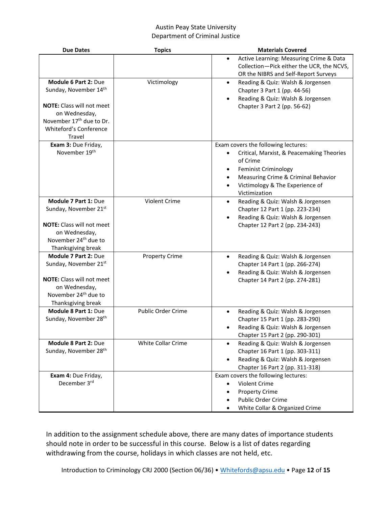| <b>Due Dates</b>                     | <b>Topics</b>         | <b>Materials Covered</b>                                                          |
|--------------------------------------|-----------------------|-----------------------------------------------------------------------------------|
|                                      |                       | Active Learning: Measuring Crime & Data<br>$\bullet$                              |
|                                      |                       | Collection-Pick either the UCR, the NCVS,<br>OR the NIBRS and Self-Report Surveys |
| <b>Module 6 Part 2: Due</b>          | Victimology           | Reading & Quiz: Walsh & Jorgensen<br>$\bullet$                                    |
| Sunday, November 14th                |                       | Chapter 3 Part 1 (pp. 44-56)                                                      |
|                                      |                       | Reading & Quiz: Walsh & Jorgensen                                                 |
| <b>NOTE:</b> Class will not meet     |                       | Chapter 3 Part 2 (pp. 56-62)                                                      |
| on Wednesday,                        |                       |                                                                                   |
| November 17 <sup>th</sup> due to Dr. |                       |                                                                                   |
| Whiteford's Conference               |                       |                                                                                   |
| Travel                               |                       |                                                                                   |
| Exam 3: Due Friday,                  |                       | Exam covers the following lectures:                                               |
| November 19th                        |                       | Critical, Marxist, & Peacemaking Theories                                         |
|                                      |                       | of Crime                                                                          |
|                                      |                       | Feminist Criminology                                                              |
|                                      |                       | Measuring Crime & Criminal Behavior                                               |
|                                      |                       | Victimology & The Experience of                                                   |
|                                      |                       | Victimization                                                                     |
| Module 7 Part 1: Due                 | Violent Crime         | Reading & Quiz: Walsh & Jorgensen                                                 |
| Sunday, November 21st                |                       | Chapter 12 Part 1 (pp. 223-234)                                                   |
|                                      |                       | Reading & Quiz: Walsh & Jorgensen                                                 |
| <b>NOTE:</b> Class will not meet     |                       | Chapter 12 Part 2 (pp. 234-243)                                                   |
| on Wednesday,                        |                       |                                                                                   |
| November 24 <sup>th</sup> due to     |                       |                                                                                   |
| Thanksgiving break                   |                       |                                                                                   |
| Module 7 Part 2: Due                 | <b>Property Crime</b> | Reading & Quiz: Walsh & Jorgensen<br>$\bullet$                                    |
| Sunday, November 21st                |                       | Chapter 14 Part 1 (pp. 266-274)                                                   |
| <b>NOTE:</b> Class will not meet     |                       | Reading & Quiz: Walsh & Jorgensen<br>Chapter 14 Part 2 (pp. 274-281)              |
| on Wednesday,                        |                       |                                                                                   |
| November 24 <sup>th</sup> due to     |                       |                                                                                   |
| Thanksgiving break                   |                       |                                                                                   |
| Module 8 Part 1: Due                 | Public Order Crime    | Reading & Quiz: Walsh & Jorgensen<br>$\bullet$                                    |
| Sunday, November 28 <sup>th</sup>    |                       | Chapter 15 Part 1 (pp. 283-290)                                                   |
|                                      |                       | Reading & Quiz: Walsh & Jorgensen                                                 |
|                                      |                       | Chapter 15 Part 2 (pp. 290-301)                                                   |
| Module 8 Part 2: Due                 | White Collar Crime    | Reading & Quiz: Walsh & Jorgensen                                                 |
| Sunday, November 28 <sup>th</sup>    |                       | Chapter 16 Part 1 (pp. 303-311)                                                   |
|                                      |                       | Reading & Quiz: Walsh & Jorgensen                                                 |
|                                      |                       | Chapter 16 Part 2 (pp. 311-318)                                                   |
| Exam 4: Due Friday,                  |                       | Exam covers the following lectures:                                               |
| December 3rd                         |                       | Violent Crime                                                                     |
|                                      |                       | <b>Property Crime</b>                                                             |
|                                      |                       | Public Order Crime                                                                |
|                                      |                       | White Collar & Organized Crime                                                    |

In addition to the assignment schedule above, there are many dates of importance students should note in order to be successful in this course. Below is a list of dates regarding withdrawing from the course, holidays in which classes are not held, etc.

Introduction to Criminology CRJ 2000 (Section 06/36) • [Whitefords@apsu.edu](mailto:Whitefords@apsu.edu) • Page **12** of **15**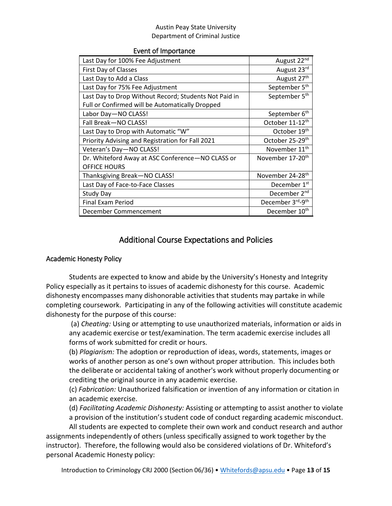#### Event of Importance

| Last Day for 100% Fee Adjustment                      | August 22nd                  |
|-------------------------------------------------------|------------------------------|
| First Day of Classes                                  | August 23rd                  |
| Last Day to Add a Class                               | August 27 <sup>th</sup>      |
| Last Day for 75% Fee Adjustment                       | September 5 <sup>th</sup>    |
| Last Day to Drop Without Record; Students Not Paid in | September 5 <sup>th</sup>    |
| Full or Confirmed will be Automatically Dropped       |                              |
| Labor Day-NO CLASS!                                   | September 6 <sup>th</sup>    |
| Fall Break-NO CLASS!                                  | October 11-12 <sup>th</sup>  |
| Last Day to Drop with Automatic "W"                   | October 19th                 |
| Priority Advising and Registration for Fall 2021      | October 25-29 <sup>th</sup>  |
| Veteran's Day-NO CLASS!                               | November 11 <sup>th</sup>    |
| Dr. Whiteford Away at ASC Conference-NO CLASS or      | November 17-20 <sup>th</sup> |
| <b>OFFICE HOURS</b>                                   |                              |
| Thanksgiving Break-NO CLASS!                          | November 24-28 <sup>th</sup> |
| Last Day of Face-to-Face Classes                      | December 1 <sup>st</sup>     |
| <b>Study Day</b>                                      | December 2 <sup>nd</sup>     |
| Final Exam Period                                     | December 3rd-9th             |
| December Commencement                                 | December 10 <sup>th</sup>    |

## Additional Course Expectations and Policies

#### Academic Honesty Policy

Students are expected to know and abide by the University's Honesty and Integrity Policy especially as it pertains to issues of academic dishonesty for this course. Academic dishonesty encompasses many dishonorable activities that students may partake in while completing coursework. Participating in any of the following activities will constitute academic dishonesty for the purpose of this course:

(a) *Cheating:* Using or attempting to use unauthorized materials, information or aids in any academic exercise or test/examination. The term academic exercise includes all forms of work submitted for credit or hours.

(b) *Plagiarism:* The adoption or reproduction of ideas, words, statements, images or works of another person as one's own without proper attribution. This includes both the deliberate or accidental taking of another's work without properly documenting or crediting the original source in any academic exercise.

(c) *Fabrication:* Unauthorized falsification or invention of any information or citation in an academic exercise.

(d) *Facilitating Academic Dishonesty:* Assisting or attempting to assist another to violate a provision of the institution's student code of conduct regarding academic misconduct.

All students are expected to complete their own work and conduct research and author assignments independently of others (unless specifically assigned to work together by the instructor). Therefore, the following would also be considered violations of Dr. Whiteford's personal Academic Honesty policy:

Introduction to Criminology CRJ 2000 (Section 06/36) • [Whitefords@apsu.edu](mailto:Whitefords@apsu.edu) • Page **13** of **15**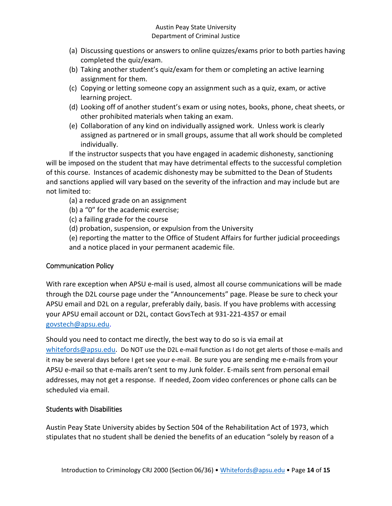- (a) Discussing questions or answers to online quizzes/exams prior to both parties having completed the quiz/exam.
- (b) Taking another student's quiz/exam for them or completing an active learning assignment for them.
- (c) Copying or letting someone copy an assignment such as a quiz, exam, or active learning project.
- (d) Looking off of another student's exam or using notes, books, phone, cheat sheets, or other prohibited materials when taking an exam.
- (e) Collaboration of any kind on individually assigned work. Unless work is clearly assigned as partnered or in small groups, assume that all work should be completed individually.

If the instructor suspects that you have engaged in academic dishonesty, sanctioning will be imposed on the student that may have detrimental effects to the successful completion of this course. Instances of academic dishonesty may be submitted to the Dean of Students and sanctions applied will vary based on the severity of the infraction and may include but are not limited to:

- (a) a reduced grade on an assignment
- (b) a "0" for the academic exercise;
- (c) a failing grade for the course
- (d) probation, suspension, or expulsion from the University

(e) reporting the matter to the Office of Student Affairs for further judicial proceedings and a notice placed in your permanent academic file.

## Communication Policy

With rare exception when APSU e-mail is used, almost all course communications will be made through the D2L course page under the "Announcements" page. Please be sure to check your APSU email and D2L on a regular, preferably daily, basis. If you have problems with accessing your APSU email account or D2L, contact GovsTech at 931-221-4357 or email [govstech@apsu.edu.](mailto:govstech@apsu.edu)

Should you need to contact me directly, the best way to do so is via email at [whitefords@apsu.edu.](mailto:whitefords@apsu.edu) Do NOT use the D2L e-mail function as I do not get alerts of those e-mails and it may be several days before I get see your e-mail. Be sure you are sending me e-mails from your APSU e-mail so that e-mails aren't sent to my Junk folder. E-mails sent from personal email addresses, may not get a response. If needed, Zoom video conferences or phone calls can be scheduled via email.

## Students with Disabilities

Austin Peay State University abides by Section 504 of the Rehabilitation Act of 1973, which stipulates that no student shall be denied the benefits of an education "solely by reason of a